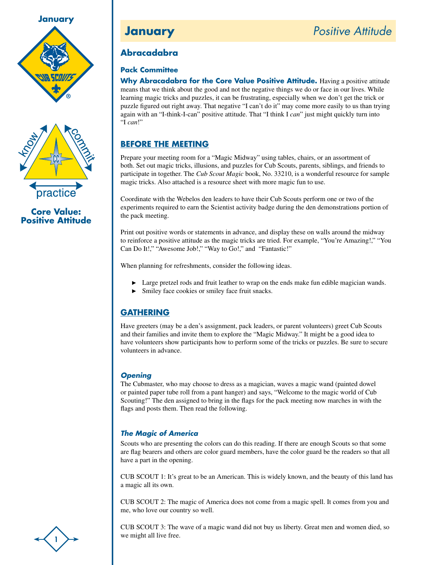



**Core Value: Positive Attitude**

# **Abracadabra**

## **Pack Committee**

**Why Abracadabra for the Core Value Positive Attitude.** Having a positive attitude means that we think about the good and not the negative things we do or face in our lives. While learning magic tricks and puzzles, it can be frustrating, especially when we don't get the trick or puzzle figured out right away. That negative "I can't do it" may come more easily to us than trying again with an "I-think-I-can" positive attitude. That "I think I *can*" just might quickly turn into "I *can*!"

# **Before the Meeting**

Prepare your meeting room for a "Magic Midway" using tables, chairs, or an assortment of both. Set out magic tricks, illusions, and puzzles for Cub Scouts, parents, siblings, and friends to participate in together. The *Cub Scout Magic* book, No. 33210, is a wonderful resource for sample magic tricks. Also attached is a resource sheet with more magic fun to use.

Coordinate with the Webelos den leaders to have their Cub Scouts perform one or two of the experiments required to earn the Scientist activity badge during the den demonstrations portion of the pack meeting.

Print out positive words or statements in advance, and display these on walls around the midway to reinforce a positive attitude as the magic tricks are tried. For example, "You're Amazing!," "You Can Do It!," "Awesome Job!," "Way to Go!," and "Fantastic!"

When planning for refreshments, consider the following ideas.

- **EXECUTE:** Large pretzel rods and fruit leather to wrap on the ends make fun edible magician wands.
- Smiley face cookies or smiley face fruit snacks.  $\blacktriangleright$

# **Gathering**

Have greeters (may be a den's assignment, pack leaders, or parent volunteers) greet Cub Scouts and their families and invite them to explore the "Magic Midway." It might be a good idea to have volunteers show participants how to perform some of the tricks or puzzles. Be sure to secure volunteers in advance.

## *Opening*

The Cubmaster, who may choose to dress as a magician, waves a magic wand (painted dowel or painted paper tube roll from a pant hanger) and says, "Welcome to the magic world of Cub Scouting!" The den assigned to bring in the flags for the pack meeting now marches in with the flags and posts them. Then read the following.

# *The Magic of America*

Scouts who are presenting the colors can do this reading. If there are enough Scouts so that some are flag bearers and others are color guard members, have the color guard be the readers so that all have a part in the opening.

CUB SCOUT 1: It's great to be an American. This is widely known, and the beauty of this land has a magic all its own.

CUB SCOUT 2: The magic of America does not come from a magic spell. It comes from you and me, who love our country so well.

CUB SCOUT 3: The wave of a magic wand did not buy us liberty. Great men and women died, so we might all live free.

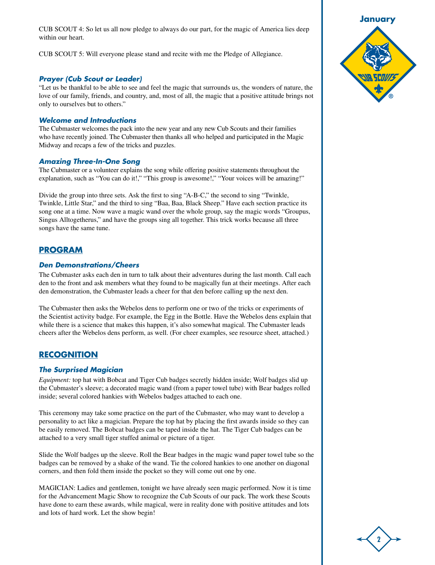CUB SCOUT 4: So let us all now pledge to always do our part, for the magic of America lies deep within our heart.

CUB SCOUT 5: Will everyone please stand and recite with me the Pledge of Allegiance.

#### *Prayer (Cub Scout or Leader)*

"Let us be thankful to be able to see and feel the magic that surrounds us, the wonders of nature, the love of our family, friends, and country, and, most of all, the magic that a positive attitude brings not only to ourselves but to others."

#### *Welcome and Introductions*

The Cubmaster welcomes the pack into the new year and any new Cub Scouts and their families who have recently joined. The Cubmaster then thanks all who helped and participated in the Magic Midway and recaps a few of the tricks and puzzles.

#### *Amazing Three-In-One Song*

The Cubmaster or a volunteer explains the song while offering positive statements throughout the explanation, such as "You can do it!," "This group is awesome!," "Your voices will be amazing!"

Divide the group into three sets. Ask the first to sing "A-B-C," the second to sing "Twinkle, Twinkle, Little Star," and the third to sing "Baa, Baa, Black Sheep." Have each section practice its song one at a time. Now wave a magic wand over the whole group, say the magic words "Groupus, Singus Alltogetherus," and have the groups sing all together. This trick works because all three songs have the same tune.

#### **Program**

#### *Den Demonstrations/Cheers*

The Cubmaster asks each den in turn to talk about their adventures during the last month. Call each den to the front and ask members what they found to be magically fun at their meetings. After each den demonstration, the Cubmaster leads a cheer for that den before calling up the next den.

The Cubmaster then asks the Webelos dens to perform one or two of the tricks or experiments of the Scientist activity badge. For example, the Egg in the Bottle. Have the Webelos dens explain that while there is a science that makes this happen, it's also somewhat magical. The Cubmaster leads cheers after the Webelos dens perform, as well. (For cheer examples, see resource sheet, attached.)

#### **Recognition**

#### *The Surprised Magician*

*Equipment:* top hat with Bobcat and Tiger Cub badges secretly hidden inside; Wolf badges slid up the Cubmaster's sleeve; a decorated magic wand (from a paper towel tube) with Bear badges rolled inside; several colored hankies with Webelos badges attached to each one.

This ceremony may take some practice on the part of the Cubmaster, who may want to develop a personality to act like a magician. Prepare the top hat by placing the first awards inside so they can be easily removed. The Bobcat badges can be taped inside the hat. The Tiger Cub badges can be attached to a very small tiger stuffed animal or picture of a tiger.

Slide the Wolf badges up the sleeve. Roll the Bear badges in the magic wand paper towel tube so the badges can be removed by a shake of the wand. Tie the colored hankies to one another on diagonal corners, and then fold them inside the pocket so they will come out one by one.

MAGICIAN: Ladies and gentlemen, tonight we have already seen magic performed. Now it is time for the Advancement Magic Show to recognize the Cub Scouts of our pack. The work these Scouts have done to earn these awards, while magical, were in reality done with positive attitudes and lots and lots of hard work. Let the show begin!



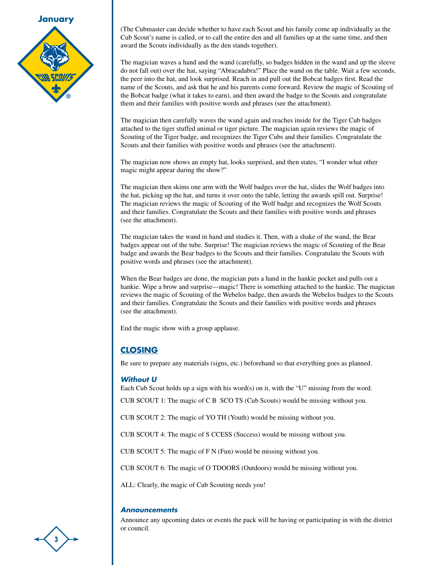

(The Cubmaster can decide whether to have each Scout and his family come up individually as the Cub Scout's name is called, or to call the entire den and all families up at the same time, and then award the Scouts individually as the den stands together).

The magician waves a hand and the wand (carefully, so badges hidden in the wand and up the sleeve do not fall out) over the hat, saying "Abracadabra!" Place the wand on the table. Wait a few seconds, the peer into the hat, and look surprised. Reach in and pull out the Bobcat badges first. Read the name of the Scouts, and ask that he and his parents come forward. Review the magic of Scouting of the Bobcat badge (what it takes to earn), and then award the badge to the Scouts and congratulate them and their families with positive words and phrases (see the attachment).

The magician then carefully waves the wand again and reaches inside for the Tiger Cub badges attached to the tiger stuffed animal or tiger picture. The magician again reviews the magic of Scouting of the Tiger badge, and recognizes the Tiger Cubs and their families. Congratulate the Scouts and their families with positive words and phrases (see the attachment).

The magician now shows an empty hat, looks surprised, and then states, "I wonder what other magic might appear during the show?"

The magician then skims one arm with the Wolf badges over the hat, slides the Wolf badges into the hat, picking up the hat, and turns it over onto the table, letting the awards spill out. Surprise! The magician reviews the magic of Scouting of the Wolf badge and recognizes the Wolf Scouts and their families. Congratulate the Scouts and their families with positive words and phrases (see the attachment).

The magician takes the wand in hand and studies it. Then, with a shake of the wand, the Bear badges appear out of the tube. Surprise! The magician reviews the magic of Scouting of the Bear badge and awards the Bear badges to the Scouts and their families. Congratulate the Scouts with positive words and phrases (see the attachment).

When the Bear badges are done, the magician puts a hand in the hankie pocket and pulls out a hankie. Wipe a brow and surprise—magic! There is something attached to the hankie. The magician reviews the magic of Scouting of the Webelos badge, then awards the Webelos badges to the Scouts and their families. Congratulate the Scouts and their families with positive words and phrases (see the attachment).

End the magic show with a group applause.

## **Closing**

Be sure to prepare any materials (signs, etc.) beforehand so that everything goes as planned.

#### *Without U*

Each Cub Scout holds up a sign with his word(s) on it, with the "U" missing from the word.

CUB SCOUT 1: The magic of C B SCO TS (Cub Scouts) would be missing without you.

CUB SCOUT 2: The magic of YO TH (Youth) would be missing without you.

CUB SCOUT 4: The magic of S CCESS (Success) would be missing without you.

CUB SCOUT 5: The magic of F N (Fun) would be missing without you.

CUB SCOUT 6: The magic of O TDOORS (Outdoors) would be missing without you.

ALL: Clearly, the magic of Cub Scouting needs you!

#### *Announcements*

Announce any upcoming dates or events the pack will be having or participating in with the district or council.

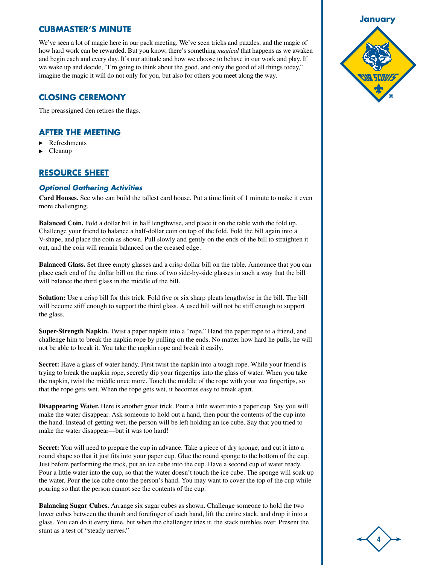## **Cubmaster's Minute**

We've seen a lot of magic here in our pack meeting. We've seen tricks and puzzles, and the magic of how hard work can be rewarded. But you know, there's something *magical* that happens as we awaken and begin each and every day. It's our attitude and how we choose to behave in our work and play. If we wake up and decide, "I'm going to think about the good, and only the good of all things today," imagine the magic it will do not only for you, but also for others you meet along the way.

## **Closing Ceremony**

The preassigned den retires the flags.

## **After the Meeting**

- Refreshments
- Cleanup

## **Resource Sheet**

## *Optional Gathering Activities*

**Card Houses.** See who can build the tallest card house. Put a time limit of 1 minute to make it even more challenging.

**Balanced Coin.** Fold a dollar bill in half lengthwise, and place it on the table with the fold up. Challenge your friend to balance a half-dollar coin on top of the fold. Fold the bill again into a V-shape, and place the coin as shown. Pull slowly and gently on the ends of the bill to straighten it out, and the coin will remain balanced on the creased edge.

**Balanced Glass.** Set three empty glasses and a crisp dollar bill on the table. Announce that you can place each end of the dollar bill on the rims of two side-by-side glasses in such a way that the bill will balance the third glass in the middle of the bill.

**Solution:** Use a crisp bill for this trick. Fold five or six sharp pleats lengthwise in the bill. The bill will become stiff enough to support the third glass. A used bill will not be stiff enough to support the glass.

**Super-Strength Napkin.** Twist a paper napkin into a "rope." Hand the paper rope to a friend, and challenge him to break the napkin rope by pulling on the ends. No matter how hard he pulls, he will not be able to break it. You take the napkin rope and break it easily.

**Secret:** Have a glass of water handy. First twist the napkin into a tough rope. While your friend is trying to break the napkin rope, secretly dip your fingertips into the glass of water. When you take the napkin, twist the middle once more. Touch the middle of the rope with your wet fingertips, so that the rope gets wet. When the rope gets wet, it becomes easy to break apart.

**Disappearing Water.** Here is another great trick. Pour a little water into a paper cup. Say you will make the water disappear. Ask someone to hold out a hand, then pour the contents of the cup into the hand. Instead of getting wet, the person will be left holding an ice cube. Say that you tried to make the water disappear—but it was too hard!

**Secret:** You will need to prepare the cup in advance. Take a piece of dry sponge, and cut it into a round shape so that it just fits into your paper cup. Glue the round sponge to the bottom of the cup. Just before performing the trick, put an ice cube into the cup. Have a second cup of water ready. Pour a little water into the cup, so that the water doesn't touch the ice cube. The sponge will soak up the water. Pour the ice cube onto the person's hand. You may want to cover the top of the cup while pouring so that the person cannot see the contents of the cup.

**Balancing Sugar Cubes.** Arrange six sugar cubes as shown. Challenge someone to hold the two lower cubes between the thumb and forefinger of each hand, lift the entire stack, and drop it into a glass. You can do it every time, but when the challenger tries it, the stack tumbles over. Present the stunt as a test of "steady nerves."



**4**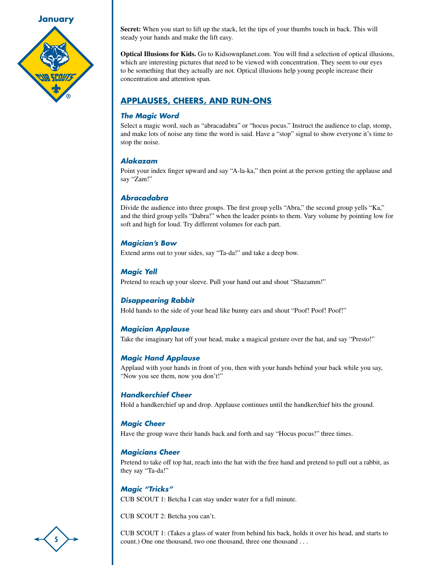

**Secret:** When you start to lift up the stack, let the tips of your thumbs touch in back. This will steady your hands and make the lift easy.

**Optical Illusions for Kids.** Go to Kidsownplanet.com. You will find a selection of optical illusions, which are interesting pictures that need to be viewed with concentration. They seem to our eyes to be something that they actually are not. Optical illusions help young people increase their concentration and attention span.

# **Applauses, Cheers, and Run-Ons**

## *The Magic Word*

Select a magic word, such as "abracadabra" or "hocus pocus." Instruct the audience to clap, stomp, and make lots of noise any time the word is said. Have a "stop" signal to show everyone it's time to stop the noise.

## *Alakazam*

Point your index finger upward and say "A-la-ka," then point at the person getting the applause and say "Zam!"

## *Abracadabra*

Divide the audience into three groups. The first group yells "Abra," the second group yells "Ka," and the third group yells "Dabra!" when the leader points to them. Vary volume by pointing low for soft and high for loud. Try different volumes for each part.

## *Magician's Bow*

Extend arms out to your sides, say "Ta-da!" and take a deep bow.

## *Magic Yell*

Pretend to reach up your sleeve. Pull your hand out and shout "Shazamm!"

## *Disappearing Rabbit*

Hold hands to the side of your head like bunny ears and shout "Poof! Poof! Poof!"

## *Magician Applause*

Take the imaginary hat off your head, make a magical gesture over the hat, and say "Presto!"

## *Magic Hand Applause*

Applaud with your hands in front of you, then with your hands behind your back while you say, "Now you see them, now you don't!"

## *Handkerchief Cheer*

Hold a handkerchief up and drop. Applause continues until the handkerchief hits the ground.

## *Magic Cheer*

Have the group wave their hands back and forth and say "Hocus pocus!" three times.

## *Magicians Cheer*

Pretend to take off top hat, reach into the hat with the free hand and pretend to pull out a rabbit, as they say "Ta-da!"

## *Magic "Tricks"*

CUB SCOUT 1: Betcha I can stay under water for a full minute.

CUB SCOUT 2: Betcha you can't.

CUB SCOUT 1: (Takes a glass of water from behind his back, holds it over his head, and starts to count.) One one thousand, two one thousand, three one thousand . . .